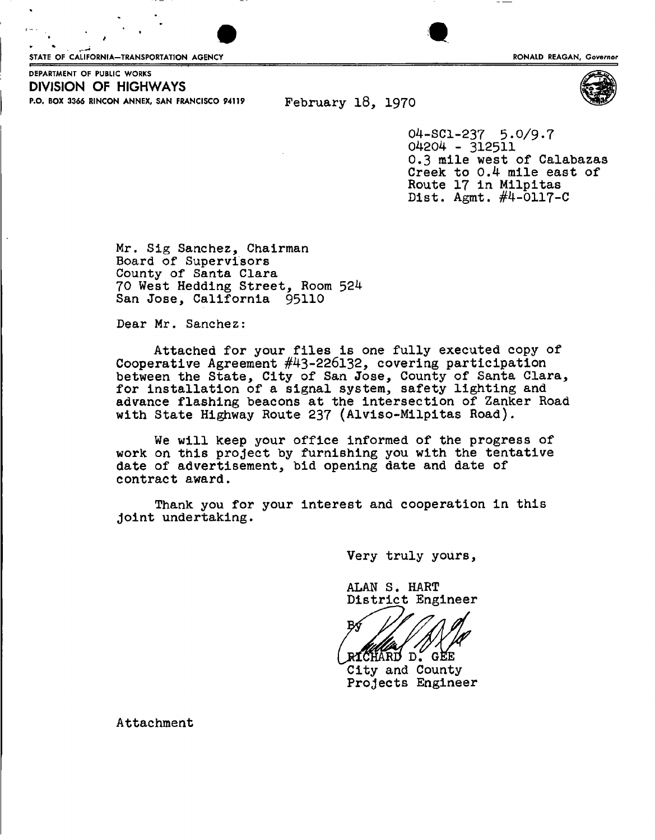STATE OF CALIFORNIA-TRANSPORTATION AGENCY **Example 2008 CONSUMING STATE OF CALIFORNIA** Governor



DEPARTMENT OF PUBLIC WORKS P.O. BOX 3366 RINCON ANNEX, SAN FRANCISCO 94119 February 18, 1970 **DIVISION OF HIGHWAYS** 

04-SC1-237 5.0/9.7 04204 - 312511 0,3 mile west of Calabazas Creek to 0,4 mile east of Route 17 in Milpitas Dist. Agmt. #4-0117-0

Mr. Sig Sanchez, Chairman Board of Supervisors County of Santa Clara 70 West Hedding Street, Room 524 San Jose, California 95110

Dear Mr. Sanchez:

Attached for your files is one fully executed copy of Cooperative Agreement #43-226132, covering participation between the State, City of San Jose, County of Santa Clara, for installation of a signal system, safety lighting and advance flashing beacons at the intersection of Zanker Road with State Highway Route 237 (Alviso-Milpitas Road).

We will keep your office informed of the progress of work on this project by furnishing you with the tentative date of advertisement, bid opening date and date of contract award.

Thank you for your interest and cooperation in this joint undertaking.

Very truly yours *y* 

ALAN S. HART District Engineer

RICHARD D. GEE City and County Projects Engineer

Attachment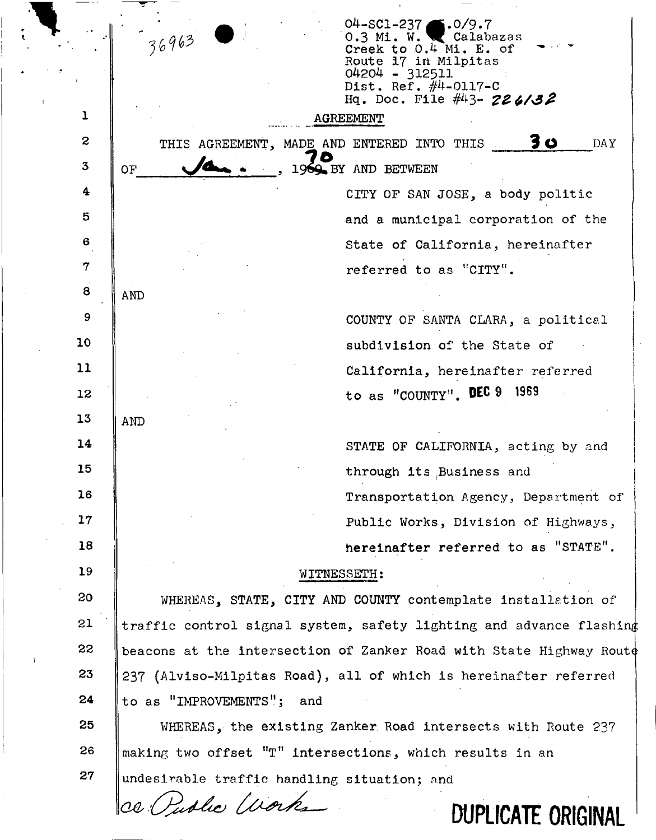|              | $04 - SC1 - 237$<br>$\blacksquare$ .0/9.7<br>36963<br>0.3 Mi. W. Calabazas<br>Creek to 0.4 Mi. E. of<br>Route 17 in Milpitas<br>04204 - 312511 |  |  |  |  |  |
|--------------|------------------------------------------------------------------------------------------------------------------------------------------------|--|--|--|--|--|
|              | Dist. Ref. $\#4$ -0117-C<br>Hq. Doc. File #43- 226/32                                                                                          |  |  |  |  |  |
| ı            | <b>AGREEMENT</b>                                                                                                                               |  |  |  |  |  |
| $\mathbf{S}$ | <b>30</b><br>THIS AGREEMENT, MADE AND ENTERED INTO THIS<br><b>DAY</b>                                                                          |  |  |  |  |  |
| $3^{\circ}$  | 1969 BY AND BETWEEN<br><b>OF</b>                                                                                                               |  |  |  |  |  |
| 4            | CITY OF SAN JOSE, a body politic                                                                                                               |  |  |  |  |  |
| 5            | and a municipal corporation of the                                                                                                             |  |  |  |  |  |
| 6            | State of California, hereinafter                                                                                                               |  |  |  |  |  |
| 7            | referred to as "CITY".                                                                                                                         |  |  |  |  |  |
| 8            | <b>AND</b>                                                                                                                                     |  |  |  |  |  |
| 9            | COUNTY OF SANTA CLARA, a political                                                                                                             |  |  |  |  |  |
| 10           | subdivision of the State of                                                                                                                    |  |  |  |  |  |
| 11           | California, hereinafter referred                                                                                                               |  |  |  |  |  |
| $12 -$       | to as "COUNTY". DEC 9 1969                                                                                                                     |  |  |  |  |  |
| 13           | <b>AND</b>                                                                                                                                     |  |  |  |  |  |
| 14           | STATE OF CALIFORNIA, acting by and                                                                                                             |  |  |  |  |  |
| 15           | through its Business and                                                                                                                       |  |  |  |  |  |
| 16           | Transportation Agency, Department of                                                                                                           |  |  |  |  |  |
| 17           | Public Works, Division of Highways,                                                                                                            |  |  |  |  |  |
| 18           | hereinafter referred to as "STATE".                                                                                                            |  |  |  |  |  |
| 19           | WITNESSETH:                                                                                                                                    |  |  |  |  |  |
| 20           | WHEREAS, STATE, CITY AND COUNTY contemplate installation of                                                                                    |  |  |  |  |  |
| 21           | traffic control signal system, safety lighting and advance flashing                                                                            |  |  |  |  |  |
| 22<br>- 1    | beacons at the intersection of Zanker Road with State Highway Route                                                                            |  |  |  |  |  |
| 23           | 237 (Alviso-Milpitas Road), all of which is hereinafter referred                                                                               |  |  |  |  |  |
| 24           | to as "IMPROVEMENTS";<br>and                                                                                                                   |  |  |  |  |  |
| 25           | WHEREAS, the existing Zanker Road intersects with Route 237                                                                                    |  |  |  |  |  |
| 26           | making two offset "T" intersections, which results in an                                                                                       |  |  |  |  |  |
| 27           | undesirable traffic handling situation; and                                                                                                    |  |  |  |  |  |
|              | ce Public Works<br><b>DUPLICATE ORIGINAL</b>                                                                                                   |  |  |  |  |  |
|              |                                                                                                                                                |  |  |  |  |  |

 $\overset{\bullet}{\mathbf{t}}$ 

 $\hat{\mathcal{L}}$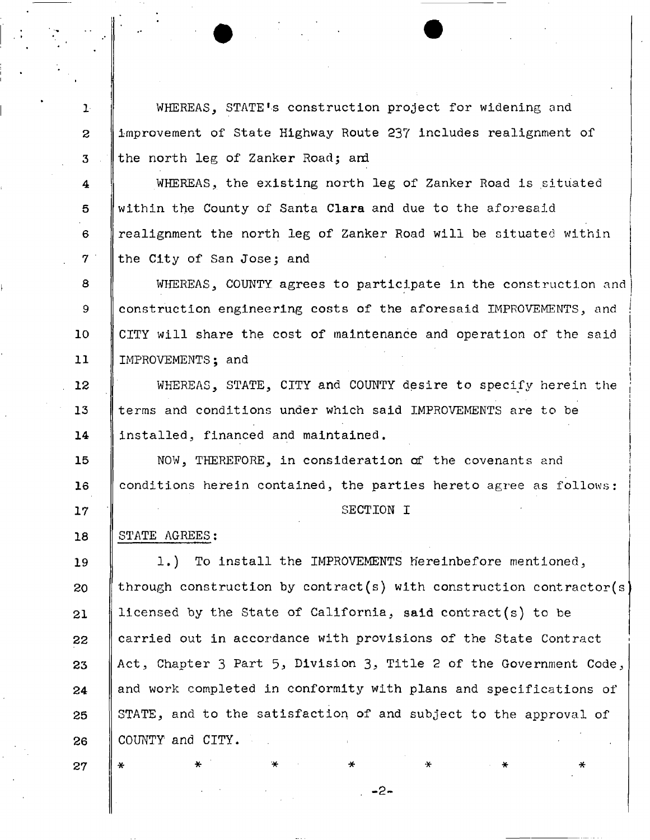WHEREAS, STATE's construction project for widening and improvement of State Highway Route 237 includes realignment of the north leg of Zanker Road; and

4 5 **6**  7 WHEREAS, the existing north leg of Zanker Road is situated within the County of Santa Clara and due to the aforesaid realignment the north leg of Zanker Road will be situated within the City of San Jose; and

**8**  9 10 **11**  WHEREAS, COUNTY agrees to participate in the construction and construction engineering costs of the aforesaid IMPROVEMENTS, and CITY will share the cost of maintenance and operation of the said IMPROVEMENTS; and

12 13 14 WHEREAS, STATE, CITY and COUNTY desire to specify herein the terms and conditions under which said IMPROVEMENTS are to be installed, financed and maintained,

15 **16**  NOW, THEREFORE, in consideration of the covenants and conditions herein contained, the parties hereto agree as follows:

#### SECTION I

#### 18 STATE AGREES:

19 20 **21**  22 23 24 25 26 1.) To install the IMPROVEMENTS hereinbefore mentioned, through construction by contract(s) with construction contractor(s) licensed by the State of California, said contract(s) to be carried out in accordance with provisions of the State Contract Act, Chapter 3 Part 5, Division 3, Title 2 of the Government Code, and work completed in conformity with plans and specifications of STATE, and to the satisfaction of and subject to the approval of COUNTY and CITY.

**- 2 -**

27

17

**1** 

**2** 

3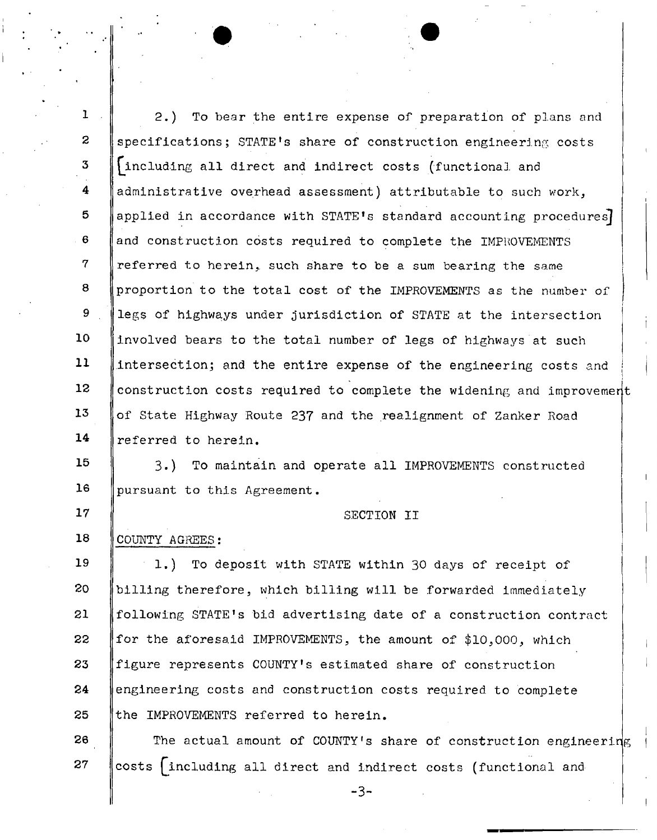**1 2**  3 4 5 **6**  7 8 9 10 11 **12**  13 14 15 **16**  17 18 19 20 21 22 23 24 25 26 2.) To bear the entire expense of preparation of plans and specifications; STATE'S share of construction engineering costs ^including all direct and indirect costs (functional and administrative overhead assessment) attributable to such work, applied in accordance with STATE's standard accounting procedures and construction costs required to complete the IMPROVEMENTS referred to herein, such share to be a sum bearing the same proportion to the total cost of the IMPROVEMENTS as the number of legs of highways under Jurisdiction of STATE at the intersection involved bears to the total number of legs of highways at such intersection; and the entire expense of the engineering costs and construction costs required to complete the widening and improvemer of State Highway Route 237 and the realignment of Zanker Road referred to herein. 3.) To maintain and operate all IMPROVEMENTS constructed pursuant to this Agreement. SECTION II COUNTY AGREES: 1.) To deposit with STATE within 30 days of receipt of billing therefore, which billing will be forwarded immediately following STATE<sup>1</sup>s bid advertising date of a construction contract for the aforesaid IMPROVEMENTS, the amount of \$10,000, which figure represents COUNTY's estimated share of construction engineering costs and construction costs required to complete the IMPROVEMENTS referred to herein. The actual amount of COUNTY's share of construction engineering

 $27$ costs (including all direct and indirect costs (functional and

-3-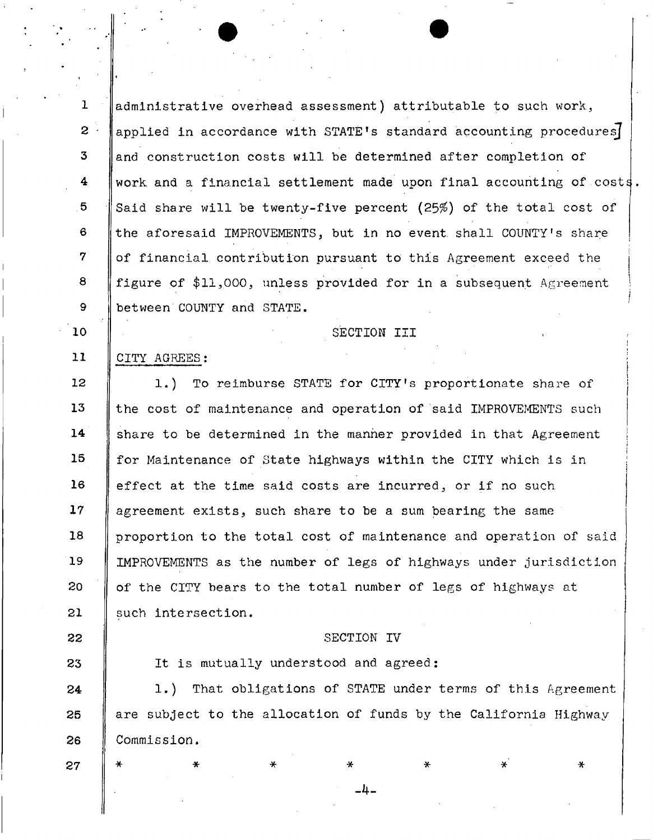$\mathbf{L}$ administrative overhead assessment) attributable to such work.,  $2^{\circ}$ applied in accordance with STATE'S standard accounting procedures]  $\mathbf{3}$ and construction costs will be determined after completion of  $\overline{\mathbf{4}}$ work and a financial settlement made upon final accounting of costs. 5 Said share will be twenty-five percent (25%) of the total cost of  $\epsilon$ the aforesaid IMPROVEMENTS, but in no event shall COUNTY's share  $\mathbf 7$ of financial contribution pursuant to this Agreement exceed the  $\mathbf{a}$ figure of \$11,000, unless provided for in a subsequent Agreement  $9<sup>°</sup>$ between'COUNTY and STATE.

SECTION III

## CITY AGREES:

10

11

12 1.) To reimburse STATE for CITY's proportionate share of 13 the cost of maintenance and operation of said IMPROVEMENTS such  $14$ share to be determined in the manner provided in that Agreement 15 for Maintenance of State highways within the CITY which is in  $16$ effect at the time said costs are incurred, or if no such  $17<sup>7</sup>$ agreement exists, such share to be a sum bearing the same 18 proportion to the total cost of maintenance and operation of said 19 IMPROVEMENTS as the number of legs of highways under jurisdiction 20 of the CITY bears to the total number of legs of highways at 21 such intersection.

### SECTION IV

*- b -*

23 It is mutually understood and agreed: 1.) That obligations of STATE under terms of this Agreement 24 are subject to the allocation of funds by the California Highway 25 26 Commission.

\* \* \* \* \* \* \* \*

27

22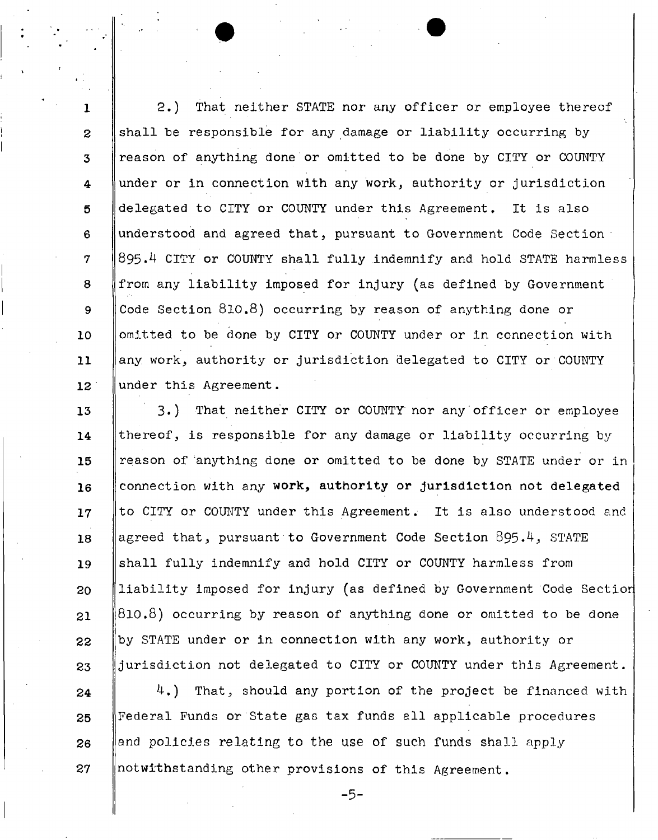1 **2**  3 4 5 **6**  7 **8**  9 10 **11 12**  2.) That neither STATE nor any officer or employee thereof shall be responsible for any damage or liability occurring by reason of anything done or omitted to be done by CITY or COUNTY under or in connection with any work, authority or jurisdiction delegated to CITY or COUNTY under this Agreement. It is also understood and agreed that, pursuant to Government Code Section 895.4 CITY or COUNTY shall fully indemnify and hold STATE harmless from any liability imposed for injury (as defined by Government Code Section 810.8) occurring by reason of anything done or omitted to be done by CITY or COUNTY under or in connection with any work, authority or jurisdiction delegated to CITY or COUNTY under this Agreement.

I

13 14 15 16 17 **18**  19 **20 21**  22 23 3.) That neither CITY or COUNTY nor any officer or employee thereof, is responsible for any damage or liability occurring by reason of 'anything done or omitted to be done by STATE under or in connection with any work, authority or jurisdiction not delegated to CITY or COUNTY under this Agreement. It is also understood and agreed that, pursuant to Government Code Section 895.4, STATE shall fully indemnify and hold CITY or COUNTY harmless from liability imposed for injury (as defined by Government Code Sectior 810.8) occurring by reason of anything done or omitted to be done by STATE under or in connection with any work, authority or jurisdiction not delegated to CITY or COUNTY under this Agreement.

24 25 26 27 4.) That, should any portion of the project be financed with Federal Funds or State gas tax funds all applicable procedures and policies relating to the use of such funds shall apply notwithstanding other provisions of this Agreement.

-5-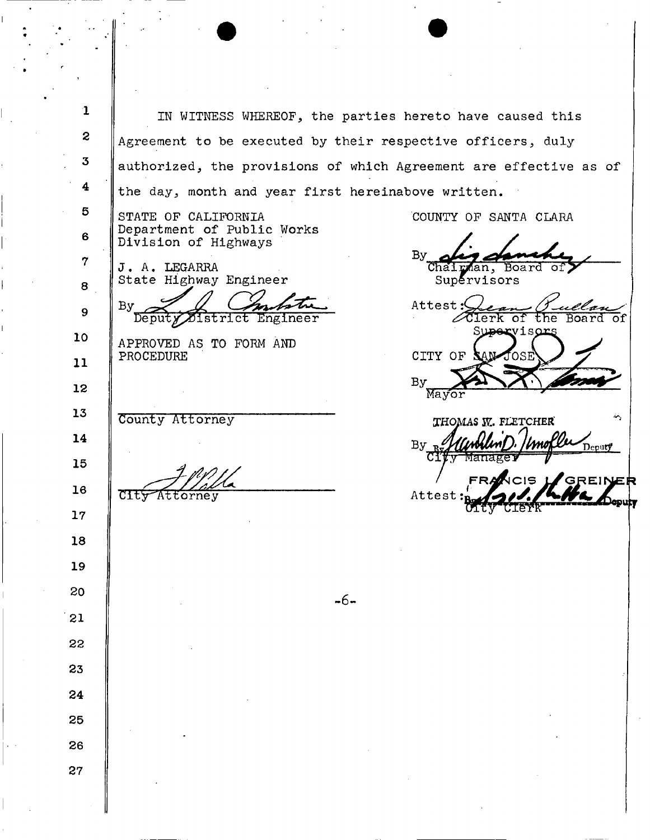1 IN WITNESS WHEREOF., the parties hereto have caused this **2**  Agreement to be executed by their respective officers, duly 3 authorized, the provisions of which Agreement are effective as of 4 the day, month and year first hereinabove written. 5 STATE OF CALIFORNIA **COUNTY OF SANTA CLARA** Department of Public Works **6**  Division of Highways **By** 7 J. A. LEGARRA Chairman, Board  $\texttt{Supervised}$ State Highway Engineer **8**  Attest: $\zeta$ By 9 Clerk of the Board of  $\overline{{\tt Deput}}$ Engineer District :viso 10 APPROVED AS TO FORM AND CITY OF PROCEDURE ΩS 11 **By 12**  Mayor 13 County Attorney THOMAS W. FLETCHER 14  $By<sub>p</sub>$ Deputy<sup>t</sup> 15 **REINER 16**  CIty Attorney Attes 17 18 19 20  $-6 -$ 21 **22**  23 24 25 **26**  27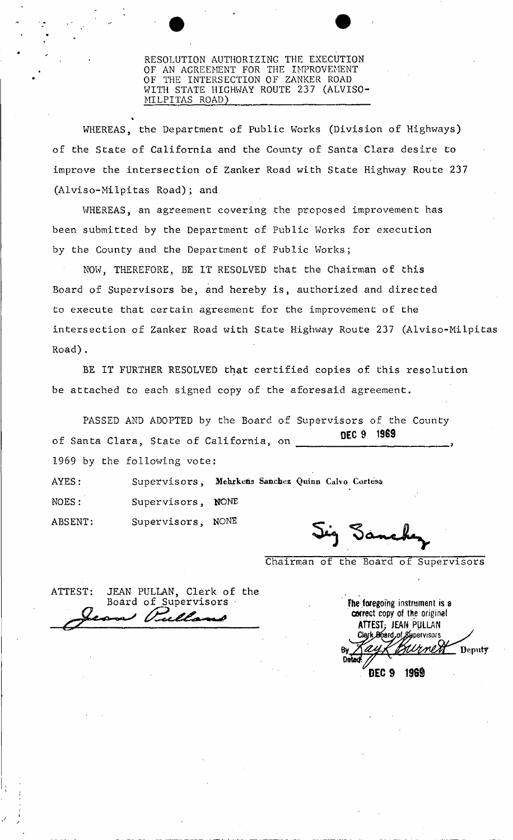#### RESOLUTION AUTHORIZING THE EXECUTION OF AN AGREEMENT FOR THE IMPROVEMENT OF THE INTERSECTION OF ZANKER ROAD WITH STATE HIGHWAY ROUTE 237 (ALVISO-MILPITAS ROAD)

WHEREAS, the Department of Public Works (Division of Highways) of the State of California and the County of Santa Clara desire to improve the intersection of Zanker Road with State Highway Route 237 (Alviso-Milpitas Road); and

WHEREAS, an agreement covering the proposed improvement has been submitted by the Department of Public Works for execution by the County and the Department of Public Works;

NOW, THEREFORE, BE IT RESOLVED that the Chairman of this Board of Supervisors be, and hereby is, authorized and directed to execute that certain agreement for the improvement of the intersection of Zanker Road with State Highway Route 237 (Alviso-Milpitas Road).

BE IT FURTHER RESOLVED that certified copies of this resolution be attached to each signed copy of the aforesaid agreement.

PASSED AND ADOPTED by the Board of Supervisors of the County DEC 9 1969 of Santa Clara, State of California, on of Santa Clara, State of California, State of California, State of California, State of California, on , State o

AYES: Supervisors, **Mehrketis Sanchez** Quixin **Calvo Cortese**  NOES: Supervisors, NONE

Chairman of the Board of Supervisors

ATTEST: JEAN PULLAN, Clerk of the Board of Supervisors fhe foregoing instrument is a

ABSENT: Supervisors, NONE

correct copy of the original ATTEST; JEAN PULLAN Clerk Board of Supervisors Deputy DEC 9 196\$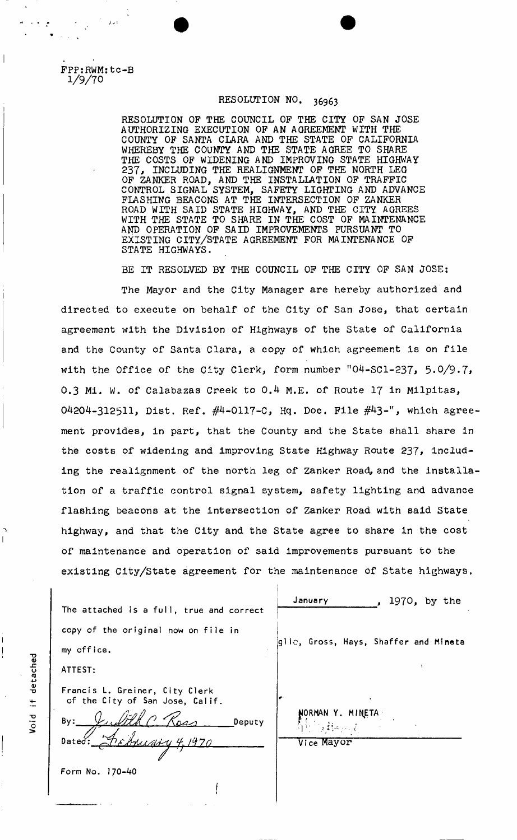FPP:RWM:tc-B 1/9/70

# RESOLUTION NO. 36963

RESOLUTION OP THE COUNCIL OP THE CITY OF SAN JOSE AUTHORIZING EXECUTION OF AN AGREEMENT WITH THE COUNTY OF SANTA CLARA AND THE STATE OF CALIFORNIA WHEREBY THE COUNTY AND THE STATE AGREE TO SHARE THE COSTS OF WIDENING AND IMPROVING STATE HIGHWAY 237, INCLUDING THE REALIGNMENT OF THE NORTH LEG OF ZANKER ROAD, AND THE INSTALLATION OF TRAFFIC CONTROL SIGNAL SYSTEM, SAFETY LIGHTING AND ADVANCE FLASHING BEACONS AT THE INTERSECTION OF ZANKER ROAD WITH SAID STATE HIGHWAY, AND THE CITY AGREES WITH THE STATE TO SHARE IN THE COST OF MAINTENANCE AND OPERATION OF SAID IMPROVEMENTS PURSUANT TO EXISTING CITY/STATE AGREEMENT FOR MAINTENANCE OF STATE HIGHWAYS.

BE IT RESOLVED BY THE COUNCIL OF THE CITY OF SAN JOSE:

The Mayor and the City Manager are hereby authorized and directed to execute on behalf of the City of San Jose, that certain agreement with the Division of Highways of the State of California and the County of Santa Clara, a copy of which agreement is on file with the Office of the City Clerk, form number "04-SCl-237,  $5.0/9.7$ , 0.3 Mi. W. of Calabazas Creek to 0.4 M.E. of Route 17 in Milpitas, O4204-3125H, Dist. Ref. #4-0117-0, Hq. Doc. File #43-", which agreement provides, in part, that the County and the State shall share in the costs of widening and improving State Highway Route 237, including the realignment of the north leg of Zanker Road, and the installation of a traffic control signal system, safety lighting and advance flashing beacons at the intersection of Zanker Road with said State highway, and that the City and the State agree to share in the cost of maintenance and operation of said improvements pursuant to the existing City/State agreement for the maintenance of State highways.

|                                                                   | January<br>1970, by the<br>$\bullet$  |
|-------------------------------------------------------------------|---------------------------------------|
| The attached is a full, true and correct                          |                                       |
| copy of the original now on file in                               |                                       |
| my office.                                                        | glic, Gross, Hays, Shaffer and Mineta |
| ATTEST:                                                           |                                       |
| Francis L. Greiner, City Clerk<br>of the City of San Jose, Calif. |                                       |
| By:<br>Deputy                                                     | NORMAN Y. MINETA                      |
| Chrisary 4, 1970<br>Dated:                                        | Vice Mayor                            |
| Form No. 170-40                                                   |                                       |
|                                                                   |                                       |

"D (U -C o **(tJ** *4-i* 0) "D  $\pm$ **biol** 

 $\overline{\phantom{a}}$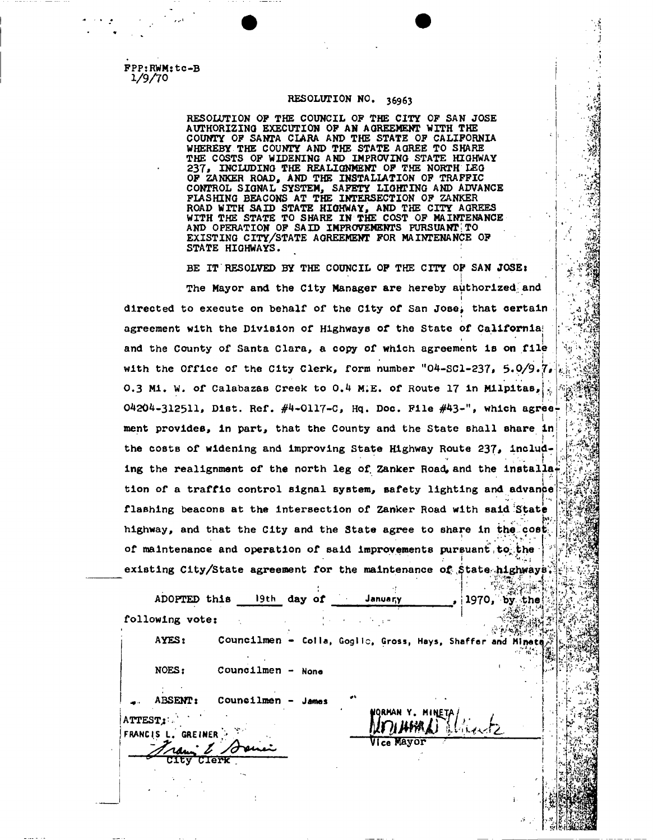**FPP:RWM:tc-B 1/9/70** 

#### **RESOLUTION NO. 36963**

' >

 $\cdot$   $\frac{3}{2}$   $\cdot$ *"4* 

*M*  ''' '

**f** 

 $tr^2(x) = 1$ 

a dia<br>1

 $*$ ll  $*$ 

**• \*LVNJ,T«<** 

*%'M.* 

*Jtf-i\* •* 

**RESOLUTION OP THE COUNCIL OP THE CITY OP SAN JOSE AUTHORIZING EXECUTION OP AN AGREEMENT WITH THE COUNTY OP SANTA CLARA AND THE STATE OP CALIFORNIA WHEREBY THE COUNTY AND THE STATE AGREE TO SHARE THE COSTS OF WIDENING AND IMPROVING STATE HIGHWAY 237\* INCLUDING THE REALIGNMENT OP THE NORTH LEO OP ZANKER ROAD, AND THE INSTALLATION OP TRAFFIC CONTROL SIGNAL SYSTEM, SAFETY LIGHTING** AN D **ADVANCE FIASHING BEACONS AT THE INTERSECTION OF ZANKER ROAD WITH SAID STATE HIGHWAY, AND THE CITY AGREES WITH THE STATE TO SHARE IN THE COST OP MAINTENANCE**  A N D **OPERATION OP SAID IMPROVEMENTS PURSUANT;TO EXISTING CITY/STATE AGREEMENT FOR MAINTENANCE OP STATE HIGHWAYS.** 

**BE IT RESOLVED BY THE COUNCIL OF THE CITY OF SAN JQSEl**   $\cdot$   $\cdot$   $\cdot$ **The Mayor and the City Manager are hereby authorized-and I directed to execute on behalf of the City of San Jose^ that certain agreement with the Division of Highway8 of the State of California!**  and the County of Santa Clara, a copy of which agreement is on file with the Office of the City Clerk, form number "04-SCl-237, 5.0/9.7. **0.3 Mi. W. of Calabazas Creek to 0.4 M.E. of Route 17 in Milpitas, 0.3 Mi. W. of Calabazas Creek to 0.4 M;E. of Route 17 in Mllpltas, 04204-312511, Dist. Ref. #4-0117-C, Hq. Doc. File #43-", which agree-**  $\left| \frac{3}{2} \right|$ **ment provides, in part, that the County and the State shall share in > ' Iv'^fe?**  the costs of widening and improving State Highway Route 237, includ**ing the realignment of the north leg of Zanker Road, and the lnstalla**i **tion of a traffic control signal system, Bafety lighting and advance' flashing beacons at the intersection of Zanker Road with said State highway, and that the City and the State agree to share in the cost!<sup>s</sup>** of maintenance and operation of said improvements pursuant to the **of <b>pursuant** city/State agreement for the maintenance of .State .highwaye.

|                               | ADOPTED this 19th day of January                          |                  | 1970, by |                 |
|-------------------------------|-----------------------------------------------------------|------------------|----------|-----------------|
| following vote:               |                                                           |                  |          | the:            |
| AYES:                         | Councilmen - Coila, Goglic, Gross, Hays, Shaffer and Mine |                  |          |                 |
| NOES:                         | Councilmen - None                                         |                  |          |                 |
| ABSENT:                       | Councilmen - James                                        |                  |          |                 |
| ATTEST;<br>FRANCIS L. GREINER |                                                           | NQRMAN Y. MINETA |          |                 |
| <b>CTerk</b>                  |                                                           | Vice Mayor       |          |                 |
|                               |                                                           |                  |          |                 |
|                               |                                                           |                  |          |                 |
|                               |                                                           |                  |          | $\mathcal{A}$ . |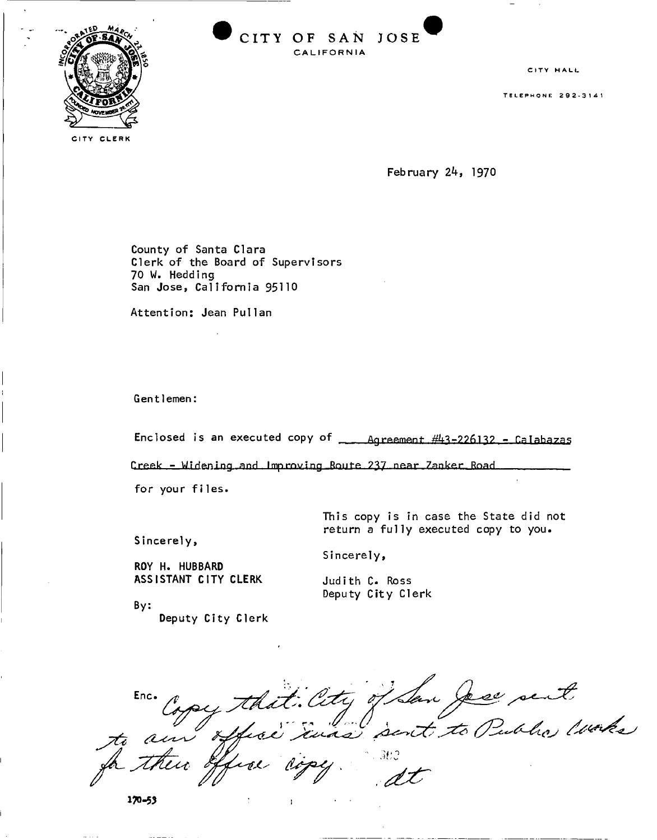

**CIT Y OF SA N JOS E CALIFORNIA** 

CITY HALL

TELEPHONE 292-3141

CITY CLERK

February 24, 1970

County of Santa Clara Clerk of the Board of Supervisors 70 W. Hedding

Attention: Jean Pullan

Gentlemen:

Enclosed is an executed copy of  $\frac{443-226132}{8}$  - Calabazas

Greek - Widening and Improving Boute 237 near Zanker Road

for your files.

This copy is in case the State did not return a fully executed copy to you.

Sincerely,

Sincerely,

ROY H. HUBBARD ASSISTANT CITY CLERK

Judith C. Ross Deputy City Clerk

By: Deputy City Clerk

nc. Copy that City of San Jese sent  $rac{1}{x}$  $e^{i\pi i t}$ nge

 $\mathbf{I}$ 

**170-53**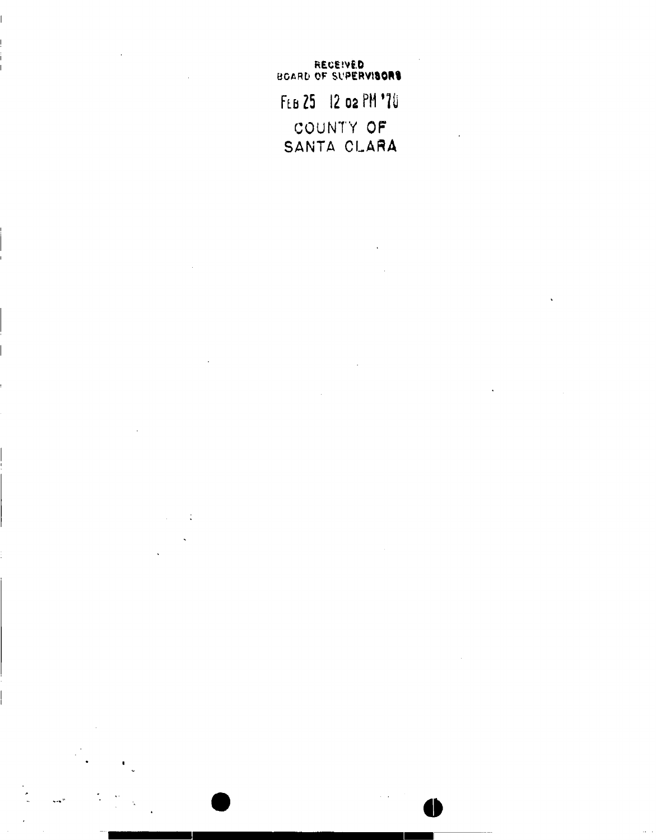**REce.'ve.D**  BOARD OF SUPERVISORS. FLB 25 12 02 PM '70 COUNTY OF **SANTA CLARA**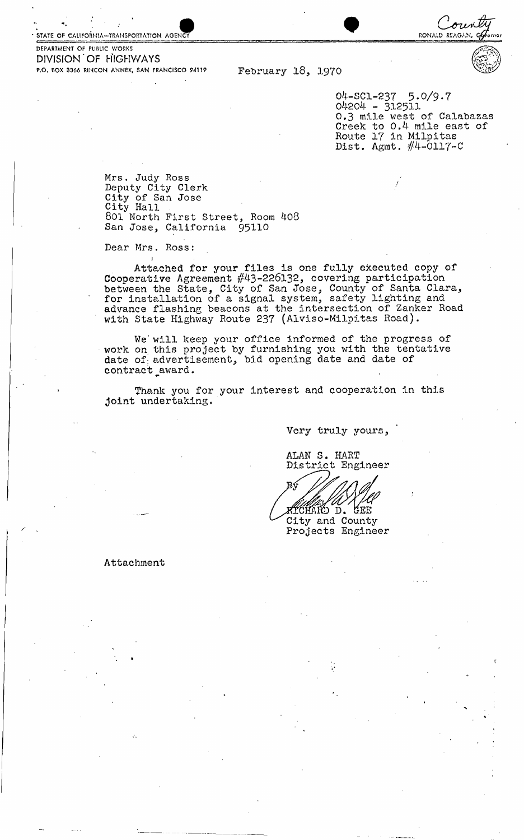STATE OF CALIFORNIA—TRANSPORTATION AGEN



04-SC1-237 5.0/9-7 04204 - 312511<br>-0.3 mile west of Calabazas Creek to 0.4 mile east of Route 17 in Milpitas Dist. Agmt.  $#4$ -0117-C

oria

RONALD REAGAN,

Mrs. Judy Ross Deputy City Clerk City of San Jose City Hall . 801 North First Street, Room 408 San Jose, California 95110

Dear Mrs. Ross:

**j**  Attached for your files is one fully executed copy of Cooperative Agreement #43-226132, covering participation between the State, City of San Jose, County of Santa Clara, for installation of a signal system, safety lighting and advance flashing beacons at the intersection of Zanker Road with State Highway Route 237 (Alviso-Milpitas Road).

We' will keep your office informed of the progress of work on this project by furnishing you with the tentative date of advertisement, bid opening date and date of contract award.

Thank you for your interest and cooperation in this joint undertaking.

Very truly yours,

ALAN S. HART District Engineer

RTCHARD D. **GEE** City and County

Projects Engineer

Attachment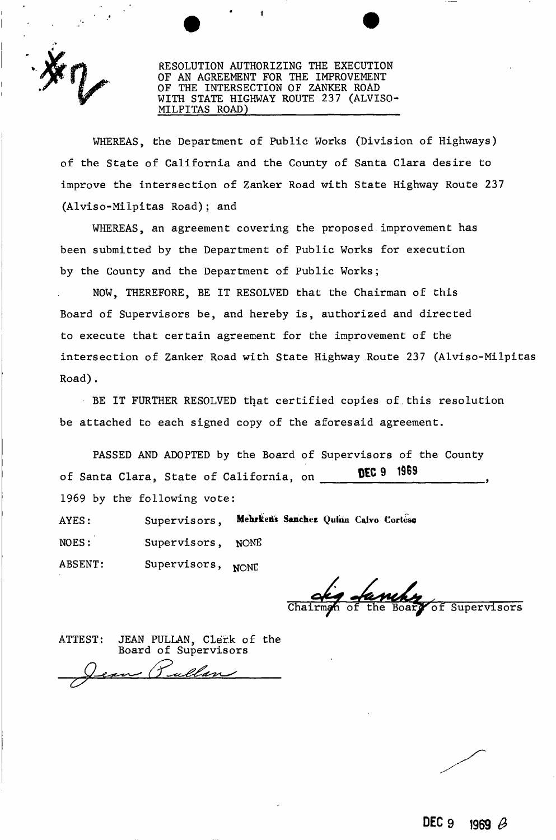

RESOLUTION AUTHORIZING THE EXECUTION OF AN AGREEMENT FOR THE IMPROVEMENT OF THE INTERSECTION OF ZANKER ROAD WITH STATE HIGHWAY ROUTE 237 (ALVISO-MILPITAS ROAD)

WHEREAS, the Department of Public Works (Division of Highways) of the State of California and the County of Santa Clara desire to improve the intersection of Zanker Road with State Highway Route 237 (Alviso-Milpitas Road); and

WHEREAS, an agreement covering the proposed improvement has been submitted by the Department of Public Works for execution by the County and the Department of Public Works;

NOW, THEREFORE, BE IT RESOLVED that the Chairman of this Board of Supervisors be, and hereby is, authorized and directed to execute that certain agreement for the improvement of the intersection of Zanker Road with State Highway Route 237 (Alviso-Milpitas Road).

BE IT FURTHER RESOLVED that certified copies of.this resolution be attached to each signed copy of the aforesaid agreement.

PASSED AND ADOPTED by the Board of Supervisors of the County of Santa Clara, State of California, on **DEC 9 1969** 

1969 by the following vote:

AYES: Supervisors, Mehrken's Sanchez Quinn Calvo Cortese

NOES: Supervisors, NONE

ABSENT: Supervisors, NONE

of Supervisors

ATTEST: JEAN PULLAN, Clerk of the Board of Supervisors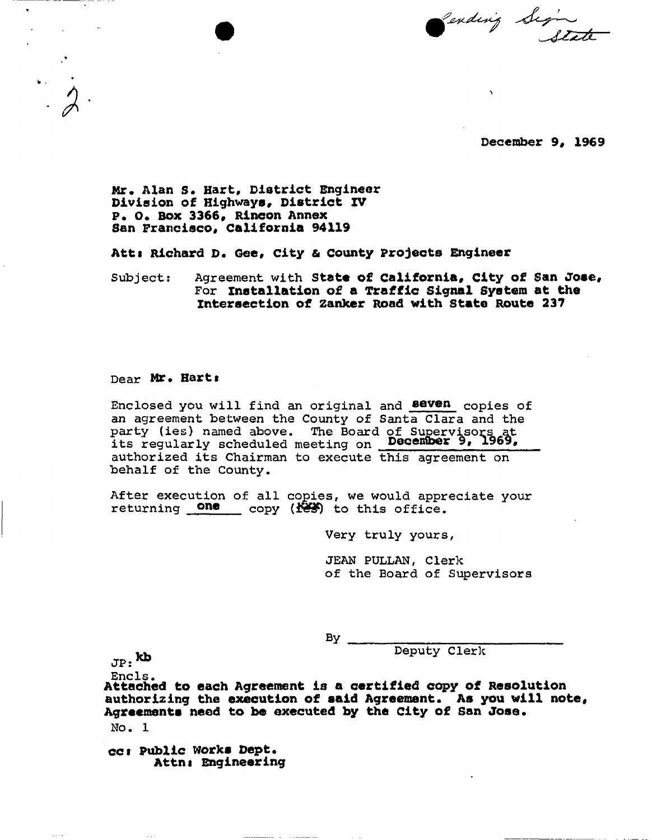Pending Sign

December 9, 1969

Mr. Alan S. Hart, District Engineer Division of Highways, District IV P. 0. Box 3366, Rincon Annex San Francisco, California 94119

Atti Richard D. Gee, City & county Projects Engineer

Subject: Agreement with State of California, City of San Jose, **For** installation of a Traffic Signal System at the intersection of zanker Road with State Route 237

#### **Dear** Mr. Harts

**Enclosed you will find an original and aevan copies of an agreement between the County of Santa Clara and the party (ies) named above. The Board of Supervisors at**  its regularly scheduled meeting on **December 9, 1969, authorized its Chairman to execute this agreement on behalf of the County.** 

**After execution of all copies, we would appreciate your**  returning **one** copy (188) to this office.

**Very truly yours** 

**JEAN PULLAN, Clerk of the Board of Supervisors** 

**By** 

**Kb Deputy Clerk** 

 $JP:$   $\mathbf{K} \mathbf{D}$ 

**Ends.** 

Attached to each Agreement is a certified copy of Resolution authorizing the execution of said Agreement. As you will note, Agreements need to be executed by the City of San Jose. **No. 1** 

cct Public Works Dept. Attni Engineering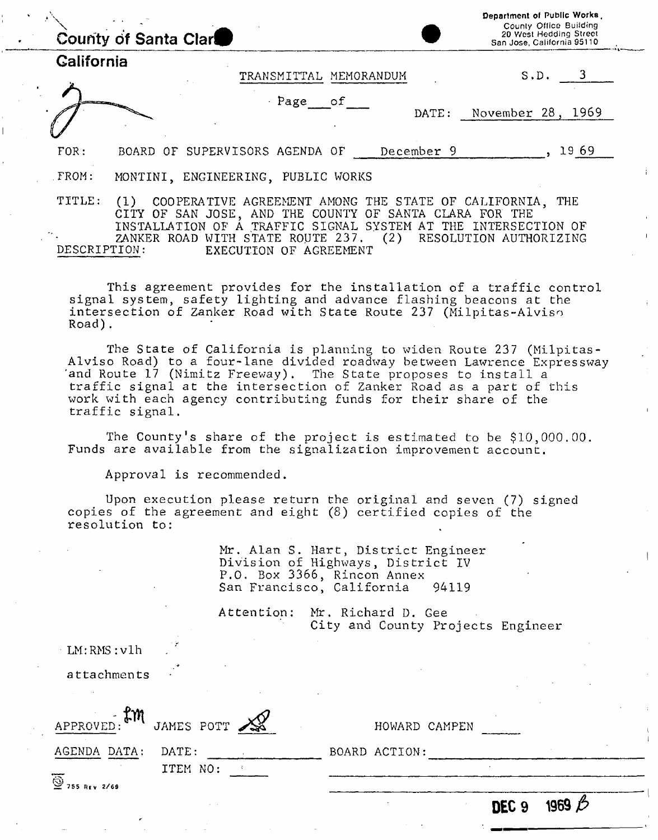|                   | County of Santa Clar                                                                                                                                                                | Department of Public Works.<br>County Office Building<br>20 West Hedding Street<br>San Jose, California 95110 |
|-------------------|-------------------------------------------------------------------------------------------------------------------------------------------------------------------------------------|---------------------------------------------------------------------------------------------------------------|
| <b>California</b> | TRANSMITTAL MEMORANDUM                                                                                                                                                              | S.D. 3                                                                                                        |
|                   | $Page$ of<br>DATE:                                                                                                                                                                  | 1969<br>November 28,                                                                                          |
| FOR:              | BOARD OF SUPERVISORS AGENDA OF<br>December 9                                                                                                                                        | 1969                                                                                                          |
| FROM:             | MONTINI, ENGINEERING, PUBLIC WORKS                                                                                                                                                  |                                                                                                               |
| TITLE:            | COOPERATIVE AGREEMENT AMONG THE STATE OF CALIFORNIA,<br>(1)<br>OF SAN JOSE, AND THE COUNTY OF SANTA CLARA FOR THE<br>INSTALLATION OF A TRAFFIC SIGNAL SYSTEM AT THE INTERSECTION OF | THE                                                                                                           |

ZANKER ROAD WITH STATE ROUTE 237. (2) RESOLUTION AUTHORIZING<br>DESCRIPTION: EXECUTION OF AGREEMENT EXECUTION OF AGREEMENT

This agreement provides for the installation of a traffic control signal system, safety lighting and advance flashing beacons at the intersection of Zanker Road with State Route 237 (Milpitas-Alviso Road).

The State of California is planning to widen Route 237 (Milpitas-Alviso Road) to a four-lane divided roadway between Lawrence Expressway 'and Route 17 (Nimitz Freeway). The State proposes to install a traffic signal at the intersection of Zanker Road as a part of this work with each agency contributing funds for their share of the traffic signal.

The County's share of the project is estimated to be \$10,000.00. Funds are available from the signalization improvement account.

Approval is recommended.

LM:RMS:vlh

Upon execution please return the original and seven (7) signed copies of the agreement and eight (8) certified copies of the resolution to:

> Mr. Alan S. Hart, District Engineer Division of Highways, District IV P.O. Box 3366, Rincon Annex San Francisco, California 94119

Attention: Mr. Richard D. Gee City and County Projects Engineer

|                                      |            |  |               | DEC <sub>9</sub> | 1969 |  |
|--------------------------------------|------------|--|---------------|------------------|------|--|
| $\overline{\mathbf{9}}$ 755 REV 2/69 | ITEM NO:   |  |               |                  |      |  |
| AGENDA DATA:                         | DATE:      |  | BOARD ACTION: |                  |      |  |
| APPROVED: EM                         | JAMES POTT |  | HOWARD CAMPEN |                  |      |  |
| attachments                          |            |  |               |                  |      |  |